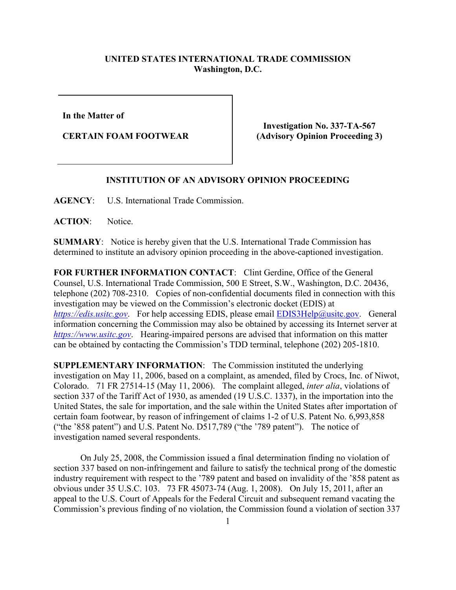## **UNITED STATES INTERNATIONAL TRADE COMMISSION Washington, D.C.**

**In the Matter of** 

**CERTAIN FOAM FOOTWEAR**

**Investigation No. 337-TA-567 (Advisory Opinion Proceeding 3)**

## **INSTITUTION OF AN ADVISORY OPINION PROCEEDING**

**AGENCY**: U.S. International Trade Commission.

**ACTION**: Notice.

**SUMMARY**: Notice is hereby given that the U.S. International Trade Commission has determined to institute an advisory opinion proceeding in the above-captioned investigation.

**FOR FURTHER INFORMATION CONTACT**: Clint Gerdine, Office of the General Counsel, U.S. International Trade Commission, 500 E Street, S.W., Washington, D.C. 20436, telephone (202) 708-2310. Copies of non-confidential documents filed in connection with this investigation may be viewed on the Commission's electronic docket (EDIS) at *[https://edis.usitc.gov](https://edis.usitc.gov/).* For help accessing EDIS, please email [EDIS3Help@usitc.gov.](mailto:EDIS3Help@usitc.gov) General information concerning the Commission may also be obtained by accessing its Internet server at *[https://www.usitc.gov](https://www.usitc.gov/)*. Hearing-impaired persons are advised that information on this matter can be obtained by contacting the Commission's TDD terminal, telephone (202) 205-1810.

**SUPPLEMENTARY INFORMATION**: The Commission instituted the underlying investigation on May 11, 2006, based on a complaint, as amended, filed by Crocs, Inc. of Niwot, Colorado. 71 FR 27514-15 (May 11, 2006). The complaint alleged, *inter alia*, violations of section 337 of the Tariff Act of 1930, as amended (19 U.S.C. 1337), in the importation into the United States, the sale for importation, and the sale within the United States after importation of certain foam footwear, by reason of infringement of claims 1-2 of U.S. Patent No. 6,993,858 ("the '858 patent") and U.S. Patent No. D517,789 ("the '789 patent"). The notice of investigation named several respondents.

On July 25, 2008, the Commission issued a final determination finding no violation of section 337 based on non-infringement and failure to satisfy the technical prong of the domestic industry requirement with respect to the '789 patent and based on invalidity of the '858 patent as obvious under 35 U.S.C. 103. 73 FR 45073-74 (Aug. 1, 2008). On July 15, 2011, after an appeal to the U.S. Court of Appeals for the Federal Circuit and subsequent remand vacating the Commission's previous finding of no violation, the Commission found a violation of section 337